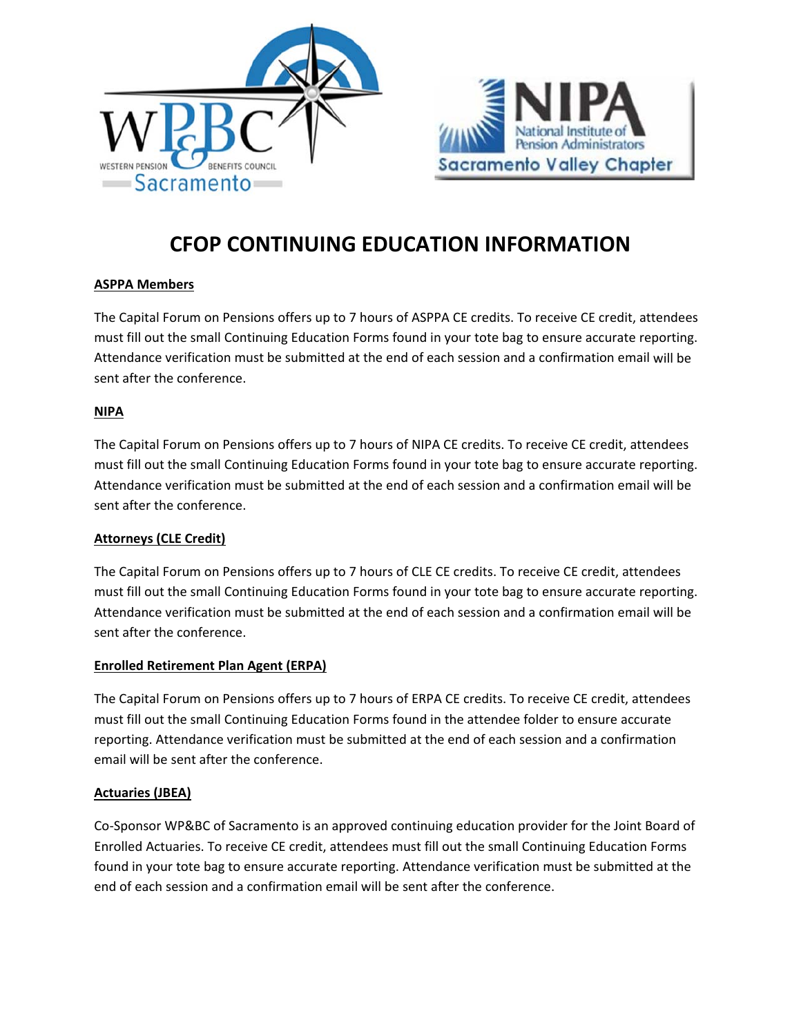



# **CFOP CONTINUING EDUCATION INFORMATION**

## **ASPPA Members**

The Capital Forum on Pensions offers up to 7 hours of ASPPA CE credits. To receive CE credit, attendees must fill out the small Continuing Education Forms found in your tote bag to ensure accurate reporting. Attendance verification must be submitted at the end of each session and a confirmation email will be sent after the conference.

## **NIPA**

The Capital Forum on Pensions offers up to 7 hours of NIPA CE credits. To receive CE credit, attendees must fill out the small Continuing Education Forms found in your tote bag to ensure accurate reporting. Attendance verification must be submitted at the end of each session and a confirmation email will be sent after the conference.

## **Attorneys (CLE Credit)**

The Capital Forum on Pensions offers up to 7 hours of CLE CE credits. To receive CE credit, attendees must fill out the small Continuing Education Forms found in your tote bag to ensure accurate reporting. Attendance verification must be submitted at the end of each session and a confirmation email will be sent after the conference.

## **Enrolled Retirement Plan Agent (ERPA)**

The Capital Forum on Pensions offers up to 7 hours of ERPA CE credits. To receive CE credit, attendees must fill out the small Continuing Education Forms found in the attendee folder to ensure accurate reporting. Attendance verification must be submitted at the end of each session and a confirmation email will be sent after the conference.

## **Actuaries (JBEA)**

Co‐Sponsor WP&BC of Sacramento is an approved continuing education provider for the Joint Board of Enrolled Actuaries. To receive CE credit, attendees must fill out the small Continuing Education Forms found in your tote bag to ensure accurate reporting. Attendance verification must be submitted at the end of each session and a confirmation email will be sent after the conference.